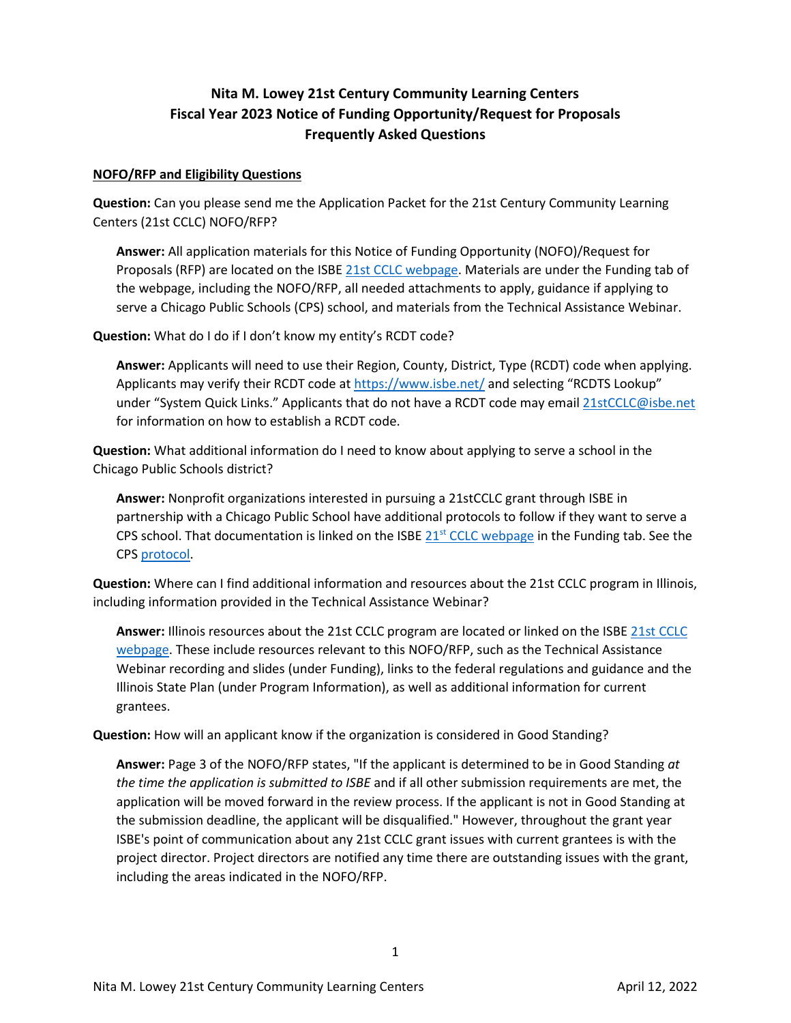# **Nita M. Lowey 21st Century Community Learning Centers Fiscal Year 2023 Notice of Funding Opportunity/Request for Proposals Frequently Asked Questions**

#### **NOFO/RFP and Eligibility Questions**

**Question:** Can you please send me the Application Packet for the 21st Century Community Learning Centers (21st CCLC) NOFO/RFP?

**Answer:** All application materials for this Notice of Funding Opportunity (NOFO)/Request for Proposals (RFP) are located on the ISB[E 21st CCLC webpage.](https://www.isbe.net/Pages/21st-Century-Community-Learning-Centers.aspx) Materials are under the Funding tab of the webpage, including the NOFO/RFP, all needed attachments to apply, guidance if applying to serve a Chicago Public Schools (CPS) school, and materials from the Technical Assistance Webinar.

**Question:** What do I do if I don't know my entity's RCDT code?

**Answer:** Applicants will need to use their Region, County, District, Type (RCDT) code when applying. Applicants may verify their RCDT code at<https://www.isbe.net/> and selecting "RCDTS Lookup" under "System Quick Links." Applicants that do not have a RCDT code may email [21stCCLC@isbe.net](mailto:21stCCLC@isbe.net) for information on how to establish a RCDT code.

**Question:** What additional information do I need to know about applying to serve a school in the Chicago Public Schools district?

**Answer:** Nonprofit organizations interested in pursuing a 21stCCLC grant through ISBE in partnership with a Chicago Public School have additional protocols to follow if they want to serve a CPS school. That documentation is linked on the ISBE  $21<sup>st</sup>$  [CCLC webpage](https://www.isbe.net/Pages/21st-Century-Community-Learning-Centers.aspx) in the Funding tab. See the CPS [protocol.](https://www.isbe.net/Documents/CPS-Protocol-21stCCLC-2023.pdf)

**Question:** Where can I find additional information and resources about the 21st CCLC program in Illinois, including information provided in the Technical Assistance Webinar?

**Answer:** Illinois resources about the 21st CCLC program are located or linked on the ISBE [21st CCLC](https://www.isbe.net/Pages/21st-Century-Community-Learning-Centers.aspx)  [webpage.](https://www.isbe.net/Pages/21st-Century-Community-Learning-Centers.aspx) These include resources relevant to this NOFO/RFP, such as the Technical Assistance Webinar recording and slides (under Funding), links to the federal regulations and guidance and the Illinois State Plan (under Program Information), as well as additional information for current grantees.

**Question:** How will an applicant know if the organization is considered in Good Standing?

**Answer:** Page 3 of the NOFO/RFP states, "If the applicant is determined to be in Good Standing *at the time the application is submitted to ISBE* and if all other submission requirements are met, the application will be moved forward in the review process. If the applicant is not in Good Standing at the submission deadline, the applicant will be disqualified." However, throughout the grant year ISBE's point of communication about any 21st CCLC grant issues with current grantees is with the project director. Project directors are notified any time there are outstanding issues with the grant, including the areas indicated in the NOFO/RFP.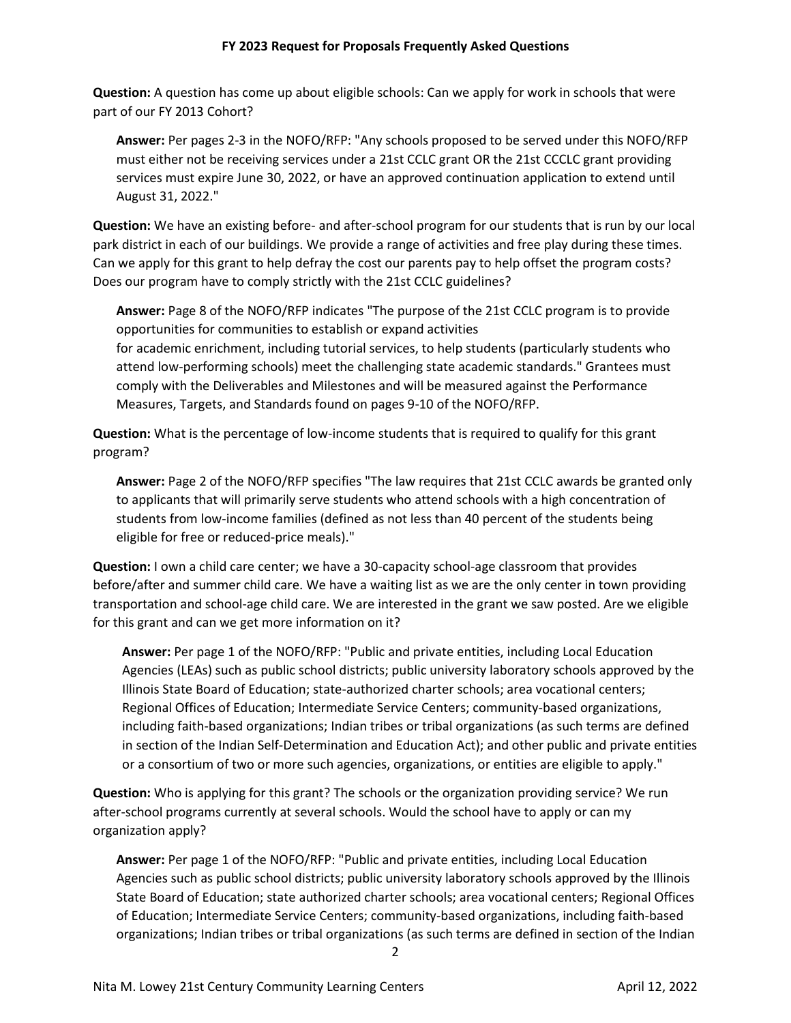**Question:** A question has come up about eligible schools: Can we apply for work in schools that were part of our FY 2013 Cohort?

**Answer:** Per pages 2-3 in the NOFO/RFP: "Any schools proposed to be served under this NOFO/RFP must either not be receiving services under a 21st CCLC grant OR the 21st CCCLC grant providing services must expire June 30, 2022, or have an approved continuation application to extend until August 31, 2022."

**Question:** We have an existing before- and after-school program for our students that is run by our local park district in each of our buildings. We provide a range of activities and free play during these times. Can we apply for this grant to help defray the cost our parents pay to help offset the program costs? Does our program have to comply strictly with the 21st CCLC guidelines?

**Answer:** Page 8 of the NOFO/RFP indicates "The purpose of the 21st CCLC program is to provide opportunities for communities to establish or expand activities for academic enrichment, including tutorial services, to help students (particularly students who attend low-performing schools) meet the challenging state academic standards." Grantees must comply with the Deliverables and Milestones and will be measured against the Performance Measures, Targets, and Standards found on pages 9-10 of the NOFO/RFP.

**Question:** What is the percentage of low-income students that is required to qualify for this grant program?

**Answer:** Page 2 of the NOFO/RFP specifies "The law requires that 21st CCLC awards be granted only to applicants that will primarily serve students who attend schools with a high concentration of students from low-income families (defined as not less than 40 percent of the students being eligible for free or reduced-price meals)."

**Question:** I own a child care center; we have a 30-capacity school-age classroom that provides before/after and summer child care. We have a waiting list as we are the only center in town providing transportation and school-age child care. We are interested in the grant we saw posted. Are we eligible for this grant and can we get more information on it?

**Answer:** Per page 1 of the NOFO/RFP: "Public and private entities, including Local Education Agencies (LEAs) such as public school districts; public university laboratory schools approved by the Illinois State Board of Education; state-authorized charter schools; area vocational centers; Regional Offices of Education; Intermediate Service Centers; community-based organizations, including faith-based organizations; Indian tribes or tribal organizations (as such terms are defined in section of the Indian Self-Determination and Education Act); and other public and private entities or a consortium of two or more such agencies, organizations, or entities are eligible to apply."

**Question:** Who is applying for this grant? The schools or the organization providing service? We run after-school programs currently at several schools. Would the school have to apply or can my organization apply?

**Answer:** Per page 1 of the NOFO/RFP: "Public and private entities, including Local Education Agencies such as public school districts; public university laboratory schools approved by the Illinois State Board of Education; state authorized charter schools; area vocational centers; Regional Offices of Education; Intermediate Service Centers; community-based organizations, including faith-based organizations; Indian tribes or tribal organizations (as such terms are defined in section of the Indian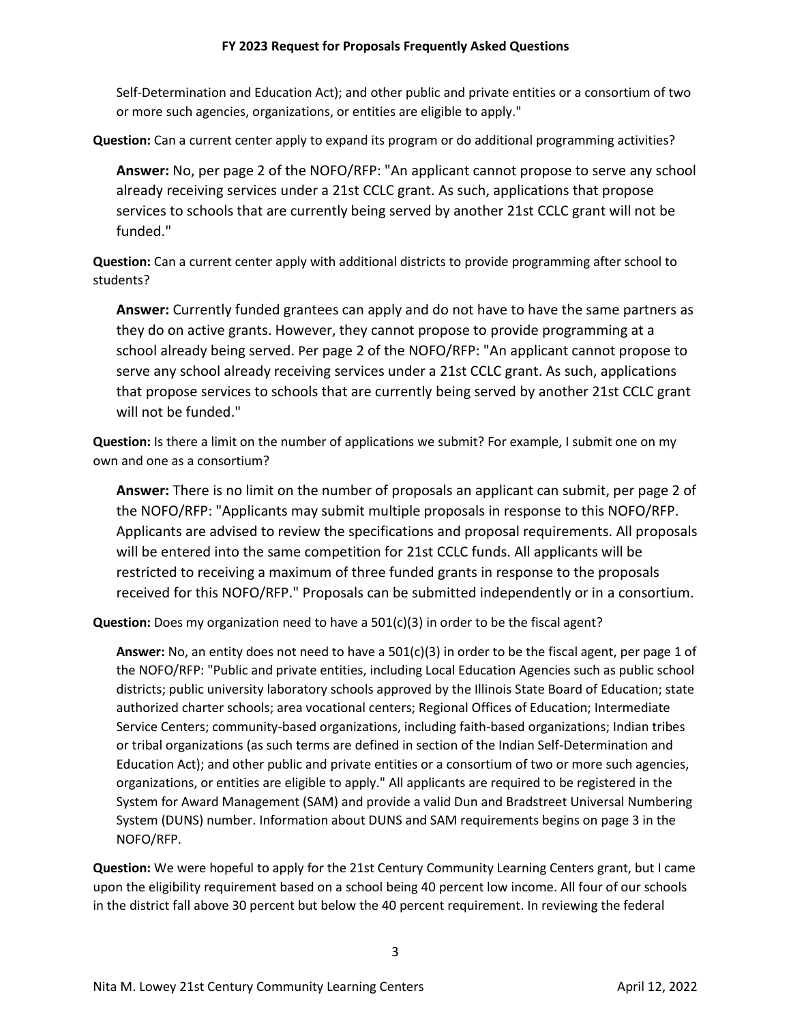### **FY 2023 Request for Proposals Frequently Asked Questions**

Self-Determination and Education Act); and other public and private entities or a consortium of two or more such agencies, organizations, or entities are eligible to apply."

**Question:** Can a current center apply to expand its program or do additional programming activities?

**Answer:** No, per page 2 of the NOFO/RFP: "An applicant cannot propose to serve any school already receiving services under a 21st CCLC grant. As such, applications that propose services to schools that are currently being served by another 21st CCLC grant will not be funded."

**Question:** Can a current center apply with additional districts to provide programming after school to students?

**Answer:** Currently funded grantees can apply and do not have to have the same partners as they do on active grants. However, they cannot propose to provide programming at a school already being served. Per page 2 of the NOFO/RFP: "An applicant cannot propose to serve any school already receiving services under a 21st CCLC grant. As such, applications that propose services to schools that are currently being served by another 21st CCLC grant will not be funded."

**Question:** Is there a limit on the number of applications we submit? For example, I submit one on my own and one as a consortium?

**Answer:** There is no limit on the number of proposals an applicant can submit, per page 2 of the NOFO/RFP: "Applicants may submit multiple proposals in response to this NOFO/RFP. Applicants are advised to review the specifications and proposal requirements. All proposals will be entered into the same competition for 21st CCLC funds. All applicants will be restricted to receiving a maximum of three funded grants in response to the proposals received for this NOFO/RFP." Proposals can be submitted independently or in a consortium.

**Question:** Does my organization need to have a 501(c)(3) in order to be the fiscal agent?

**Answer:** No, an entity does not need to have a 501(c)(3) in order to be the fiscal agent, per page 1 of the NOFO/RFP: "Public and private entities, including Local Education Agencies such as public school districts; public university laboratory schools approved by the Illinois State Board of Education; state authorized charter schools; area vocational centers; Regional Offices of Education; Intermediate Service Centers; community-based organizations, including faith-based organizations; Indian tribes or tribal organizations (as such terms are defined in section of the Indian Self-Determination and Education Act); and other public and private entities or a consortium of two or more such agencies, organizations, or entities are eligible to apply." All applicants are required to be registered in the System for Award Management (SAM) and provide a valid Dun and Bradstreet Universal Numbering System (DUNS) number. Information about DUNS and SAM requirements begins on page 3 in the NOFO/RFP.

**Question:** We were hopeful to apply for the 21st Century Community Learning Centers grant, but I came upon the eligibility requirement based on a school being 40 percent low income. All four of our schools in the district fall above 30 percent but below the 40 percent requirement. In reviewing the federal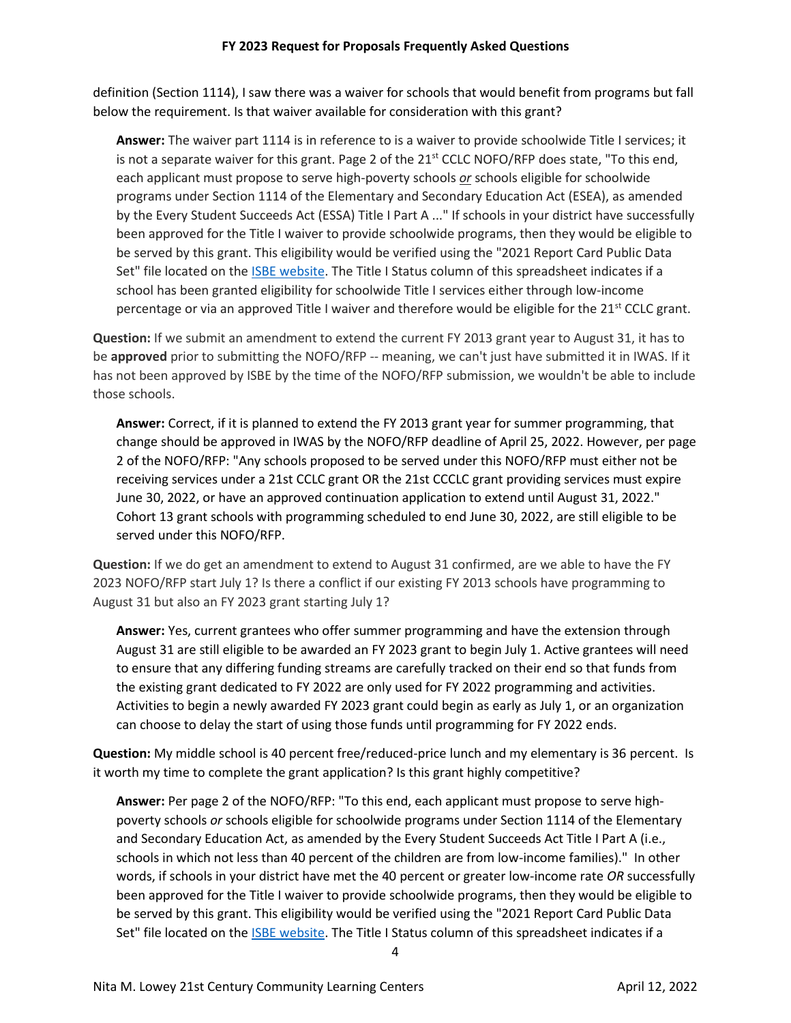definition (Section 1114), I saw there was a waiver for schools that would benefit from programs but fall below the requirement. Is that waiver available for consideration with this grant?

**Answer:** The waiver part 1114 is in reference to is a waiver to provide schoolwide Title I services; it is not a separate waiver for this grant. Page 2 of the  $21<sup>st</sup>$  CCLC NOFO/RFP does state, "To this end, each applicant must propose to serve high-poverty schools *or* schools eligible for schoolwide programs under Section 1114 of the Elementary and Secondary Education Act (ESEA), as amended by the Every Student Succeeds Act (ESSA) Title I Part A ..." If schools in your district have successfully been approved for the Title I waiver to provide schoolwide programs, then they would be eligible to be served by this grant. This eligibility would be verified using the "2021 Report Card Public Data Set" file located on th[e ISBE website.](https://www.isbe.net/pages/illinois-state-report-card-data.aspx) The Title I Status column of this spreadsheet indicates if a school has been granted eligibility for schoolwide Title I services either through low-income percentage or via an approved Title I waiver and therefore would be eligible for the  $21<sup>st</sup>$  CCLC grant.

**Question:** If we submit an amendment to extend the current FY 2013 grant year to August 31, it has to be **approved** prior to submitting the NOFO/RFP -- meaning, we can't just have submitted it in IWAS. If it has not been approved by ISBE by the time of the NOFO/RFP submission, we wouldn't be able to include those schools.

**Answer:** Correct, if it is planned to extend the FY 2013 grant year for summer programming, that change should be approved in IWAS by the NOFO/RFP deadline of April 25, 2022. However, per page 2 of the NOFO/RFP: "Any schools proposed to be served under this NOFO/RFP must either not be receiving services under a 21st CCLC grant OR the 21st CCCLC grant providing services must expire June 30, 2022, or have an approved continuation application to extend until August 31, 2022." Cohort 13 grant schools with programming scheduled to end June 30, 2022, are still eligible to be served under this NOFO/RFP.

**Question:** If we do get an amendment to extend to August 31 confirmed, are we able to have the FY 2023 NOFO/RFP start July 1? Is there a conflict if our existing FY 2013 schools have programming to August 31 but also an FY 2023 grant starting July 1?

**Answer:** Yes, current grantees who offer summer programming and have the extension through August 31 are still eligible to be awarded an FY 2023 grant to begin July 1. Active grantees will need to ensure that any differing funding streams are carefully tracked on their end so that funds from the existing grant dedicated to FY 2022 are only used for FY 2022 programming and activities. Activities to begin a newly awarded FY 2023 grant could begin as early as July 1, or an organization can choose to delay the start of using those funds until programming for FY 2022 ends.

**Question:** My middle school is 40 percent free/reduced-price lunch and my elementary is 36 percent. Is it worth my time to complete the grant application? Is this grant highly competitive?

**Answer:** Per page 2 of the NOFO/RFP: "To this end, each applicant must propose to serve highpoverty schools *or* schools eligible for schoolwide programs under Section 1114 of the Elementary and Secondary Education Act, as amended by the Every Student Succeeds Act Title I Part A (i.e., schools in which not less than 40 percent of the children are from low-income families)." In other words, if schools in your district have met the 40 percent or greater low-income rate *OR* successfully been approved for the Title I waiver to provide schoolwide programs, then they would be eligible to be served by this grant. This eligibility would be verified using the "2021 Report Card Public Data Set" file located on th[e ISBE website.](https://www.isbe.net/pages/illinois-state-report-card-data.aspx) The Title I Status column of this spreadsheet indicates if a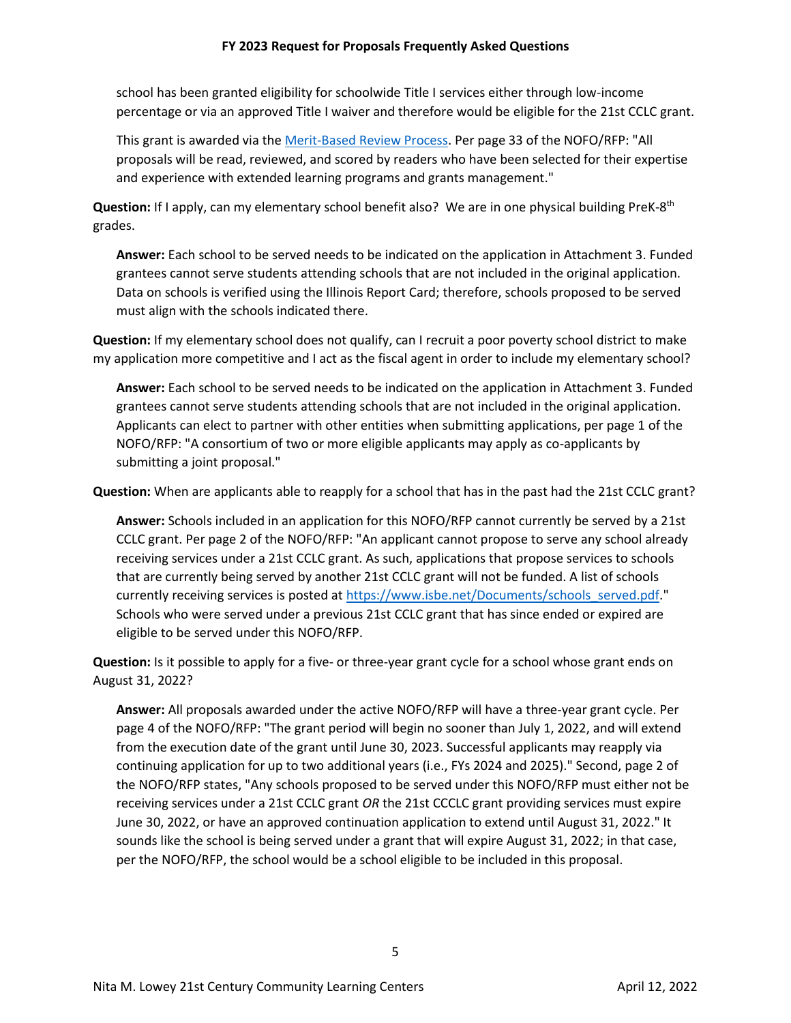school has been granted eligibility for schoolwide Title I services either through low-income percentage or via an approved Title I waiver and therefore would be eligible for the 21st CCLC grant.

This grant is awarded via th[e Merit-Based Review](https://www.isbe.net/Documents/Merit_Based_Review_Policy.pdf) Process. Per page 33 of the NOFO/RFP: "All proposals will be read, reviewed, and scored by readers who have been selected for their expertise and experience with extended learning programs and grants management."

Question: If I apply, can my elementary school benefit also? We are in one physical building PreK-8<sup>th</sup> grades.

**Answer:** Each school to be served needs to be indicated on the application in Attachment 3. Funded grantees cannot serve students attending schools that are not included in the original application. Data on schools is verified using the Illinois Report Card; therefore, schools proposed to be served must align with the schools indicated there.

**Question:** If my elementary school does not qualify, can I recruit a poor poverty school district to make my application more competitive and I act as the fiscal agent in order to include my elementary school?

**Answer:** Each school to be served needs to be indicated on the application in Attachment 3. Funded grantees cannot serve students attending schools that are not included in the original application. Applicants can elect to partner with other entities when submitting applications, per page 1 of the NOFO/RFP: "A consortium of two or more eligible applicants may apply as co-applicants by submitting a joint proposal."

**Question:** When are applicants able to reapply for a school that has in the past had the 21st CCLC grant?

**Answer:** Schools included in an application for this NOFO/RFP cannot currently be served by a 21st CCLC grant. Per page 2 of the NOFO/RFP: "An applicant cannot propose to serve any school already receiving services under a 21st CCLC grant. As such, applications that propose services to schools that are currently being served by another 21st CCLC grant will not be funded. A list of schools currently receiving services is posted at [https://www.isbe.net/Documents/schools\\_served.pdf.](https://nam10.safelinks.protection.outlook.com/?url=https%3A%2F%2Fwww.isbe.net%2FDocuments%2Fschools_served.pdf&data=04%7C01%7C21stcclc%40isbe.net%7C914027699e2f48efd0d308da092577d1%7C0364fe8649c64af4b52c335a99e577d1%7C0%7C0%7C637832354101049260%7CUnknown%7CTWFpbGZsb3d8eyJWIjoiMC4wLjAwMDAiLCJQIjoiV2luMzIiLCJBTiI6Ik1haWwiLCJXVCI6Mn0%3D%7C3000&sdata=Eulh%2B9i892ldNKgdgCfePq%2BbUlYutvuH52iY%2B20zPUQ%3D&reserved=0)" Schools who were served under a previous 21st CCLC grant that has since ended or expired are eligible to be served under this NOFO/RFP.

**Question:** Is it possible to apply for a five- or three-year grant cycle for a school whose grant ends on August 31, 2022?

**Answer:** All proposals awarded under the active NOFO/RFP will have a three-year grant cycle. Per page 4 of the NOFO/RFP: "The grant period will begin no sooner than July 1, 2022, and will extend from the execution date of the grant until June 30, 2023. Successful applicants may reapply via continuing application for up to two additional years (i.e., FYs 2024 and 2025)." Second, page 2 of the NOFO/RFP states, "Any schools proposed to be served under this NOFO/RFP must either not be receiving services under a 21st CCLC grant *OR* the 21st CCCLC grant providing services must expire June 30, 2022, or have an approved continuation application to extend until August 31, 2022." It sounds like the school is being served under a grant that will expire August 31, 2022; in that case, per the NOFO/RFP, the school would be a school eligible to be included in this proposal.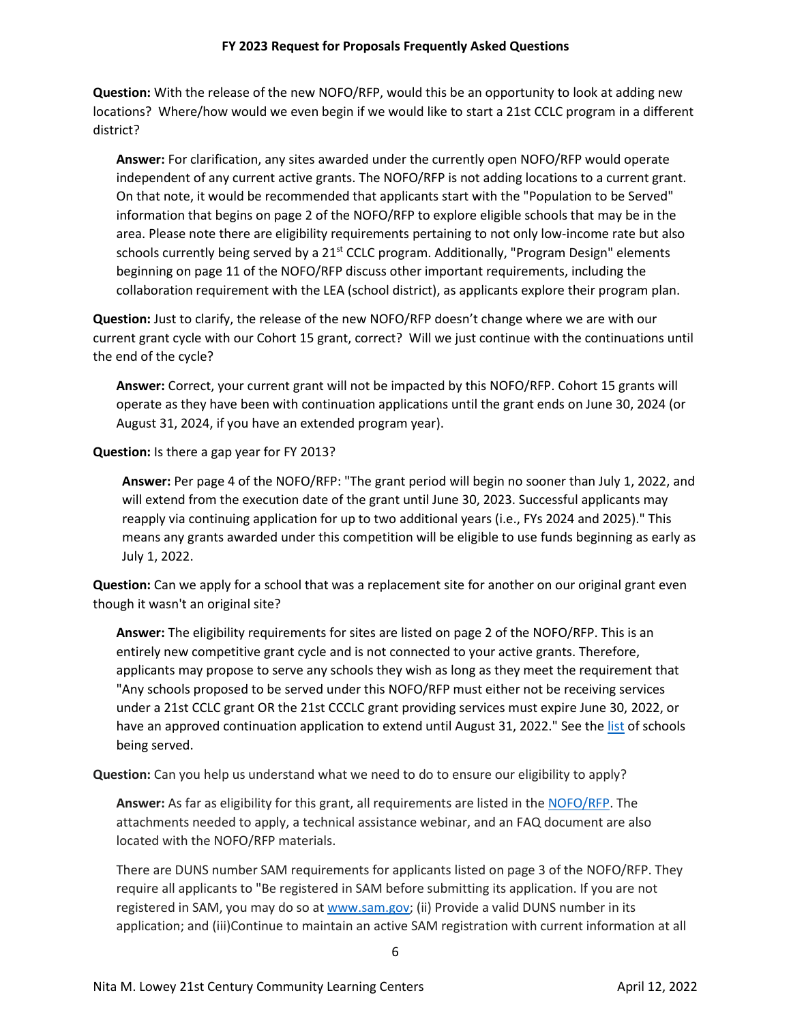**Question:** With the release of the new NOFO/RFP, would this be an opportunity to look at adding new locations? Where/how would we even begin if we would like to start a 21st CCLC program in a different district?

**Answer:** For clarification, any sites awarded under the currently open NOFO/RFP would operate independent of any current active grants. The NOFO/RFP is not adding locations to a current grant. On that note, it would be recommended that applicants start with the "Population to be Served" information that begins on page 2 of the NOFO/RFP to explore eligible schools that may be in the area. Please note there are eligibility requirements pertaining to not only low-income rate but also schools currently being served by a  $21<sup>st</sup>$  CCLC program. Additionally, "Program Design" elements beginning on page 11 of the NOFO/RFP discuss other important requirements, including the collaboration requirement with the LEA (school district), as applicants explore their program plan.

**Question:** Just to clarify, the release of the new NOFO/RFP doesn't change where we are with our current grant cycle with our Cohort 15 grant, correct? Will we just continue with the continuations until the end of the cycle?

**Answer:** Correct, your current grant will not be impacted by this NOFO/RFP. Cohort 15 grants will operate as they have been with continuation applications until the grant ends on June 30, 2024 (or August 31, 2024, if you have an extended program year).

**Question:** Is there a gap year for FY 2013?

**Answer:** Per page 4 of the NOFO/RFP: "The grant period will begin no sooner than July 1, 2022, and will extend from the execution date of the grant until June 30, 2023. Successful applicants may reapply via continuing application for up to two additional years (i.e., FYs 2024 and 2025)." This means any grants awarded under this competition will be eligible to use funds beginning as early as July 1, 2022.

**Question:** Can we apply for a school that was a replacement site for another on our original grant even though it wasn't an original site?

**Answer:** The eligibility requirements for sites are listed on page 2 of the NOFO/RFP. This is an entirely new competitive grant cycle and is not connected to your active grants. Therefore, applicants may propose to serve any schools they wish as long as they meet the requirement that "Any schools proposed to be served under this NOFO/RFP must either not be receiving services under a 21st CCLC grant OR the 21st CCCLC grant providing services must expire June 30, 2022, or have an approved continuation application to extend until August 31, 2022." See the [list](https://www.isbe.net/Documents/schools_served.pdf) of schools being served.

**Question:** Can you help us understand what we need to do to ensure our eligibility to apply?

**Answer:** As far as eligibility for this grant, all requirements are listed in the [NOFO/RFP.](https://www.isbe.net/Documents/FY2023-NOFO-RFP-21st-Century.pdf) The attachments needed to apply, a technical assistance webinar, and an FAQ document are also located with the NOFO/RFP materials.

There are DUNS number SAM requirements for applicants listed on page 3 of the NOFO/RFP. They require all applicants to "Be registered in SAM before submitting its application. If you are not registered in SAM, you may do so at www.sam.gov; (ii) Provide a valid DUNS number in its application; and (iii)Continue to maintain an active SAM registration with current information at all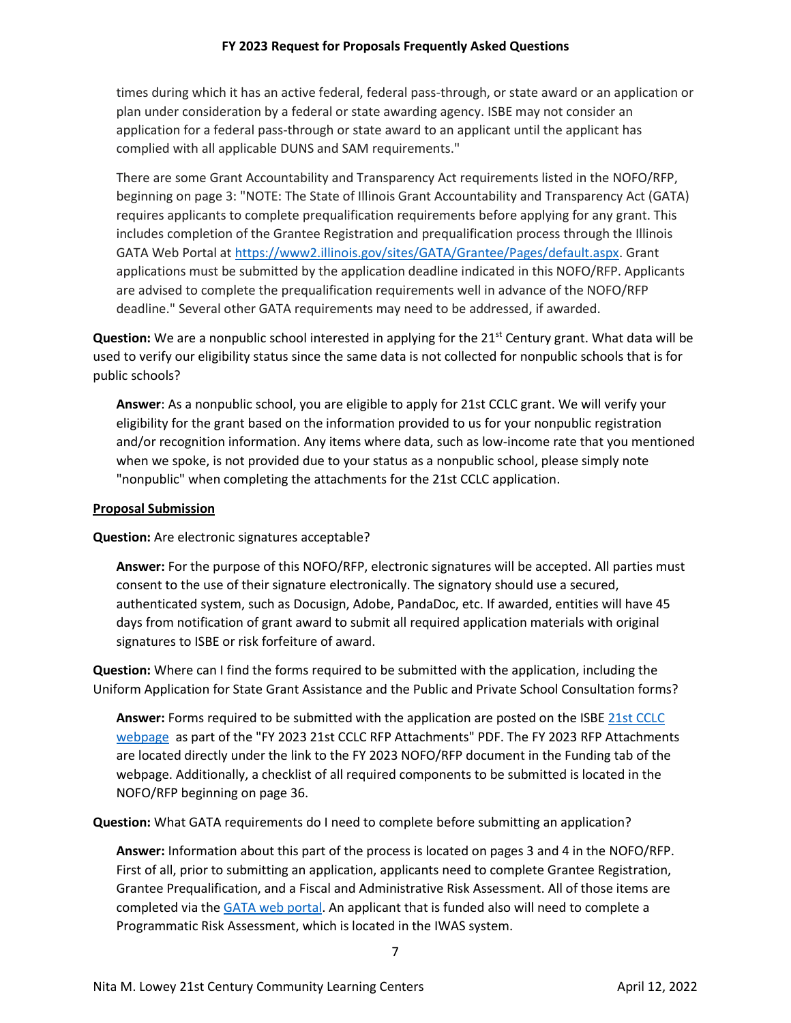times during which it has an active federal, federal pass-through, or state award or an application or plan under consideration by a federal or state awarding agency. ISBE may not consider an application for a federal pass-through or state award to an applicant until the applicant has complied with all applicable DUNS and SAM requirements."

There are some Grant Accountability and Transparency Act requirements listed in the NOFO/RFP, beginning on page 3: "NOTE: The State of Illinois Grant Accountability and Transparency Act (GATA) requires applicants to complete prequalification requirements before applying for any grant. This includes completion of the Grantee Registration and prequalification process through the Illinois GATA Web Portal at [https://www2.illinois.gov/sites/GATA/Grantee/Pages/default.aspx.](https://nam10.safelinks.protection.outlook.com/?url=https%3A%2F%2Fwww2.illinois.gov%2Fsites%2FGATA%2FGrantee%2FPages%2Fdefault.aspx&data=04%7C01%7C21stcclc%40isbe.net%7C997d51a194004a61011b08da19906b5a%7C0364fe8649c64af4b52c335a99e577d1%7C0%7C0%7C637850405483223587%7CUnknown%7CTWFpbGZsb3d8eyJWIjoiMC4wLjAwMDAiLCJQIjoiV2luMzIiLCJBTiI6Ik1haWwiLCJXVCI6Mn0%3D%7C3000&sdata=sakfpDobbYzKb7I%2FWd7M9UOnLGeNBMNPO9lJko3Hod0%3D&reserved=0) Grant applications must be submitted by the application deadline indicated in this NOFO/RFP. Applicants are advised to complete the prequalification requirements well in advance of the NOFO/RFP deadline." Several other GATA requirements may need to be addressed, if awarded.

**Question:** We are a nonpublic school interested in applying for the 21<sup>st</sup> Century grant. What data will be used to verify our eligibility status since the same data is not collected for nonpublic schools that is for public schools?

**Answer**: As a nonpublic school, you are eligible to apply for 21st CCLC grant. We will verify your eligibility for the grant based on the information provided to us for your nonpublic registration and/or recognition information. Any items where data, such as low-income rate that you mentioned when we spoke, is not provided due to your status as a nonpublic school, please simply note "nonpublic" when completing the attachments for the 21st CCLC application.

### **Proposal Submission**

**Question:** Are electronic signatures acceptable?

**Answer:** For the purpose of this NOFO/RFP, electronic signatures will be accepted. All parties must consent to the use of their signature electronically. The signatory should use a secured, authenticated system, such as Docusign, Adobe, PandaDoc, etc. If awarded, entities will have 45 days from notification of grant award to submit all required application materials with original signatures to ISBE or risk forfeiture of award.

**Question:** Where can I find the forms required to be submitted with the application, including the Uniform Application for State Grant Assistance and the Public and Private School Consultation forms?

**Answer:** Forms required to be submitted with the application are posted on the ISB[E 21st CCLC](https://www.isbe.net/Pages/21st-Century-Community-Learning-Centers.aspx)  [webpage](https://www.isbe.net/Pages/21st-Century-Community-Learning-Centers.aspx) as part of the "FY 2023 21st CCLC RFP Attachments" PDF. The FY 2023 RFP Attachments are located directly under the link to the FY 2023 NOFO/RFP document in the Funding tab of the webpage. Additionally, a checklist of all required components to be submitted is located in the NOFO/RFP beginning on page 36.

**Question:** What GATA requirements do I need to complete before submitting an application?

**Answer:** Information about this part of the process is located on pages 3 and 4 in the NOFO/RFP. First of all, prior to submitting an application, applicants need to complete Grantee Registration, Grantee Prequalification, and a Fiscal and Administrative Risk Assessment. All of those items are completed via the [GATA web portal.](https://www2.illinois.gov/sites/GATA/Pages/default.aspx) An applicant that is funded also will need to complete a Programmatic Risk Assessment, which is located in the IWAS system.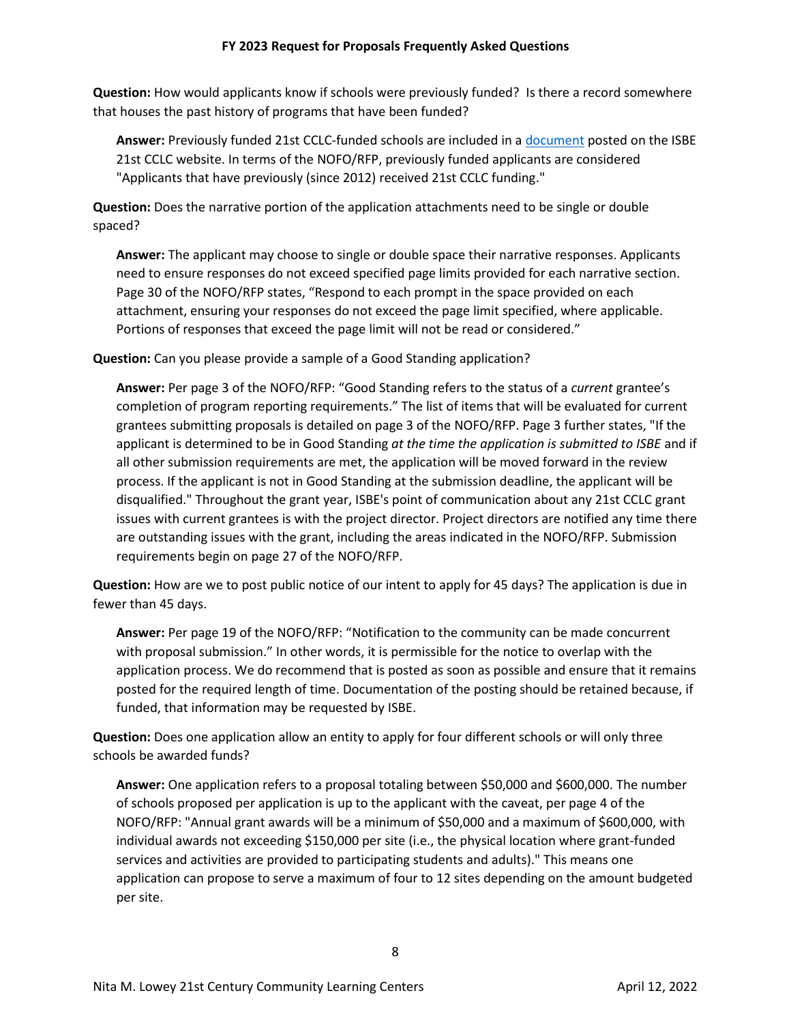**Question:** How would applicants know if schools were previously funded? Is there a record somewhere that houses the past history of programs that have been funded?

**Answer:** Previously funded 21st CCLC-funded schools are included in [a document](https://www.isbe.net/Documents/schools_served.pdf) posted on the ISBE 21st CCLC website. In terms of the NOFO/RFP, previously funded applicants are considered "Applicants that have previously (since 2012) received 21st CCLC funding."

**Question:** Does the narrative portion of the application attachments need to be single or double spaced?

**Answer:** The applicant may choose to single or double space their narrative responses. Applicants need to ensure responses do not exceed specified page limits provided for each narrative section. Page 30 of the NOFO/RFP states, "Respond to each prompt in the space provided on each attachment, ensuring your responses do not exceed the page limit specified, where applicable. Portions of responses that exceed the page limit will not be read or considered."

**Question:** Can you please provide a sample of a Good Standing application?

**Answer:** Per page 3 of the NOFO/RFP: "Good Standing refers to the status of a *current* grantee's completion of program reporting requirements." The list of items that will be evaluated for current grantees submitting proposals is detailed on page 3 of the NOFO/RFP. Page 3 further states, "If the applicant is determined to be in Good Standing *at the time the application is submitted to ISBE* and if all other submission requirements are met, the application will be moved forward in the review process. If the applicant is not in Good Standing at the submission deadline, the applicant will be disqualified." Throughout the grant year, ISBE's point of communication about any 21st CCLC grant issues with current grantees is with the project director. Project directors are notified any time there are outstanding issues with the grant, including the areas indicated in the NOFO/RFP. Submission requirements begin on page 27 of the NOFO/RFP.

**Question:** How are we to post public notice of our intent to apply for 45 days? The application is due in fewer than 45 days.

**Answer:** Per page 19 of the NOFO/RFP: "Notification to the community can be made concurrent with proposal submission." In other words, it is permissible for the notice to overlap with the application process. We do recommend that is posted as soon as possible and ensure that it remains posted for the required length of time. Documentation of the posting should be retained because, if funded, that information may be requested by ISBE.

**Question:** Does one application allow an entity to apply for four different schools or will only three schools be awarded funds?

**Answer:** One application refers to a proposal totaling between \$50,000 and \$600,000. The number of schools proposed per application is up to the applicant with the caveat, per page 4 of the NOFO/RFP: "Annual grant awards will be a minimum of \$50,000 and a maximum of \$600,000, with individual awards not exceeding \$150,000 per site (i.e., the physical location where grant-funded services and activities are provided to participating students and adults)." This means one application can propose to serve a maximum of four to 12 sites depending on the amount budgeted per site.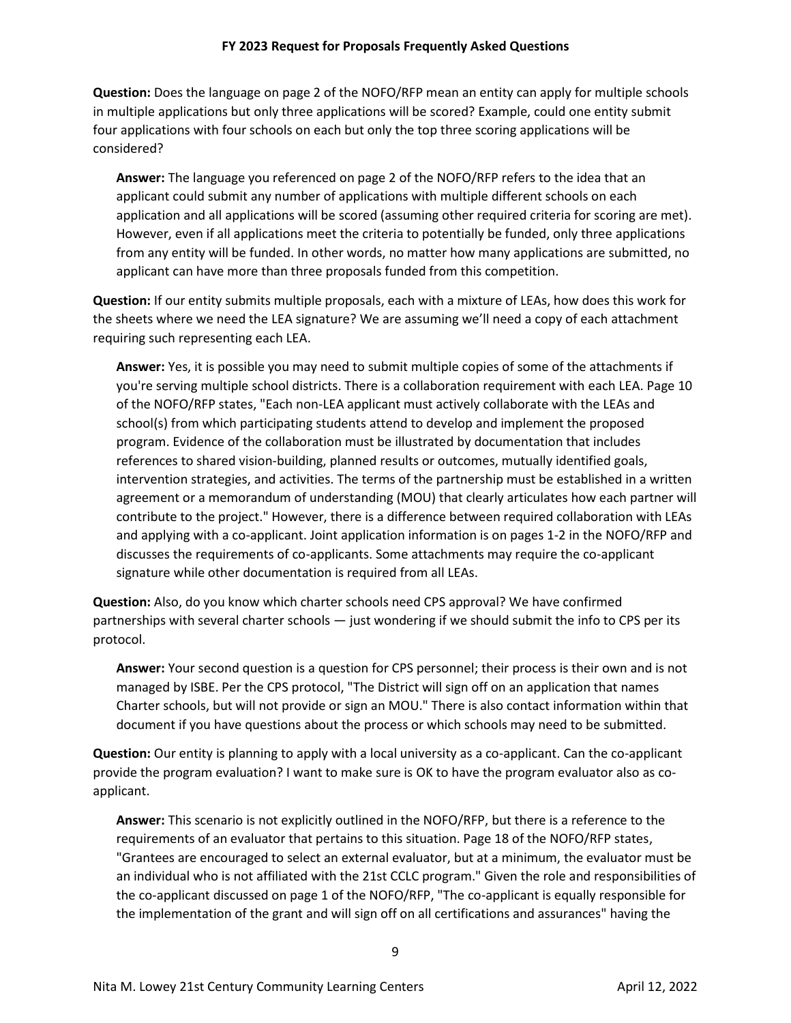**Question:** Does the language on page 2 of the NOFO/RFP mean an entity can apply for multiple schools in multiple applications but only three applications will be scored? Example, could one entity submit four applications with four schools on each but only the top three scoring applications will be considered?

**Answer:** The language you referenced on page 2 of the NOFO/RFP refers to the idea that an applicant could submit any number of applications with multiple different schools on each application and all applications will be scored (assuming other required criteria for scoring are met). However, even if all applications meet the criteria to potentially be funded, only three applications from any entity will be funded. In other words, no matter how many applications are submitted, no applicant can have more than three proposals funded from this competition.

**Question:** If our entity submits multiple proposals, each with a mixture of LEAs, how does this work for the sheets where we need the LEA signature? We are assuming we'll need a copy of each attachment requiring such representing each LEA.

**Answer:** Yes, it is possible you may need to submit multiple copies of some of the attachments if you're serving multiple school districts. There is a collaboration requirement with each LEA. Page 10 of the NOFO/RFP states, "Each non-LEA applicant must actively collaborate with the LEAs and school(s) from which participating students attend to develop and implement the proposed program. Evidence of the collaboration must be illustrated by documentation that includes references to shared vision-building, planned results or outcomes, mutually identified goals, intervention strategies, and activities. The terms of the partnership must be established in a written agreement or a memorandum of understanding (MOU) that clearly articulates how each partner will contribute to the project." However, there is a difference between required collaboration with LEAs and applying with a co-applicant. Joint application information is on pages 1-2 in the NOFO/RFP and discusses the requirements of co-applicants. Some attachments may require the co-applicant signature while other documentation is required from all LEAs.

**Question:** Also, do you know which charter schools need CPS approval? We have confirmed partnerships with several charter schools — just wondering if we should submit the info to CPS per its protocol.

**Answer:** Your second question is a question for CPS personnel; their process is their own and is not managed by ISBE. Per the CPS protocol, "The District will sign off on an application that names Charter schools, but will not provide or sign an MOU." There is also contact information within that document if you have questions about the process or which schools may need to be submitted.

**Question:** Our entity is planning to apply with a local university as a co-applicant. Can the co-applicant provide the program evaluation? I want to make sure is OK to have the program evaluator also as coapplicant.

**Answer:** This scenario is not explicitly outlined in the NOFO/RFP, but there is a reference to the requirements of an evaluator that pertains to this situation. Page 18 of the NOFO/RFP states, "Grantees are encouraged to select an external evaluator, but at a minimum, the evaluator must be an individual who is not affiliated with the 21st CCLC program." Given the role and responsibilities of the co-applicant discussed on page 1 of the NOFO/RFP, "The co-applicant is equally responsible for the implementation of the grant and will sign off on all certifications and assurances" having the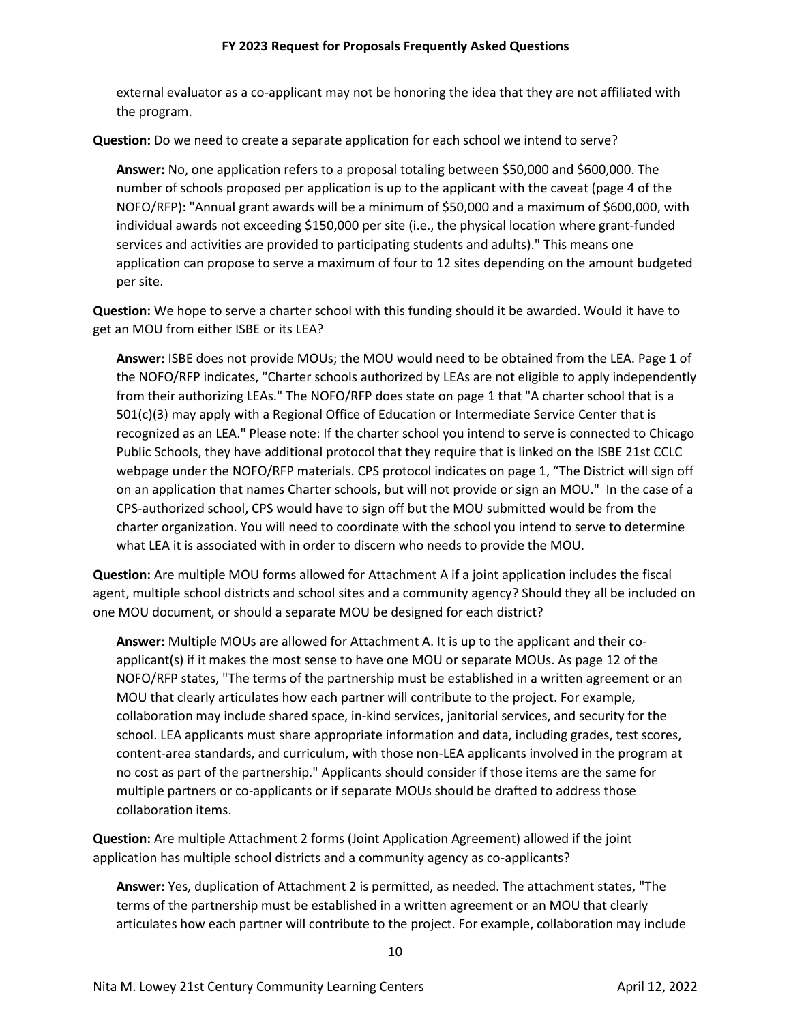external evaluator as a co-applicant may not be honoring the idea that they are not affiliated with the program.

**Question:** Do we need to create a separate application for each school we intend to serve?

**Answer:** No, one application refers to a proposal totaling between \$50,000 and \$600,000. The number of schools proposed per application is up to the applicant with the caveat (page 4 of the NOFO/RFP): "Annual grant awards will be a minimum of \$50,000 and a maximum of \$600,000, with individual awards not exceeding \$150,000 per site (i.e., the physical location where grant-funded services and activities are provided to participating students and adults)." This means one application can propose to serve a maximum of four to 12 sites depending on the amount budgeted per site.

**Question:** We hope to serve a charter school with this funding should it be awarded. Would it have to get an MOU from either ISBE or its LEA?

**Answer:** ISBE does not provide MOUs; the MOU would need to be obtained from the LEA. Page 1 of the NOFO/RFP indicates, "Charter schools authorized by LEAs are not eligible to apply independently from their authorizing LEAs." The NOFO/RFP does state on page 1 that "A charter school that is a 501(c)(3) may apply with a Regional Office of Education or Intermediate Service Center that is recognized as an LEA." Please note: If the charter school you intend to serve is connected to Chicago Public Schools, they have additional protocol that they require that is linked on the ISBE 21st CCLC webpage under the NOFO/RFP materials. CPS protocol indicates on page 1, "The District will sign off on an application that names Charter schools, but will not provide or sign an MOU." In the case of a CPS-authorized school, CPS would have to sign off but the MOU submitted would be from the charter organization. You will need to coordinate with the school you intend to serve to determine what LEA it is associated with in order to discern who needs to provide the MOU.

**Question:** Are multiple MOU forms allowed for Attachment A if a joint application includes the fiscal agent, multiple school districts and school sites and a community agency? Should they all be included on one MOU document, or should a separate MOU be designed for each district?

**Answer:** Multiple MOUs are allowed for Attachment A. It is up to the applicant and their coapplicant(s) if it makes the most sense to have one MOU or separate MOUs. As page 12 of the NOFO/RFP states, "The terms of the partnership must be established in a written agreement or an MOU that clearly articulates how each partner will contribute to the project. For example, collaboration may include shared space, in-kind services, janitorial services, and security for the school. LEA applicants must share appropriate information and data, including grades, test scores, content-area standards, and curriculum, with those non-LEA applicants involved in the program at no cost as part of the partnership." Applicants should consider if those items are the same for multiple partners or co-applicants or if separate MOUs should be drafted to address those collaboration items.

**Question:** Are multiple Attachment 2 forms (Joint Application Agreement) allowed if the joint application has multiple school districts and a community agency as co-applicants?

**Answer:** Yes, duplication of Attachment 2 is permitted, as needed. The attachment states, "The terms of the partnership must be established in a written agreement or an MOU that clearly articulates how each partner will contribute to the project. For example, collaboration may include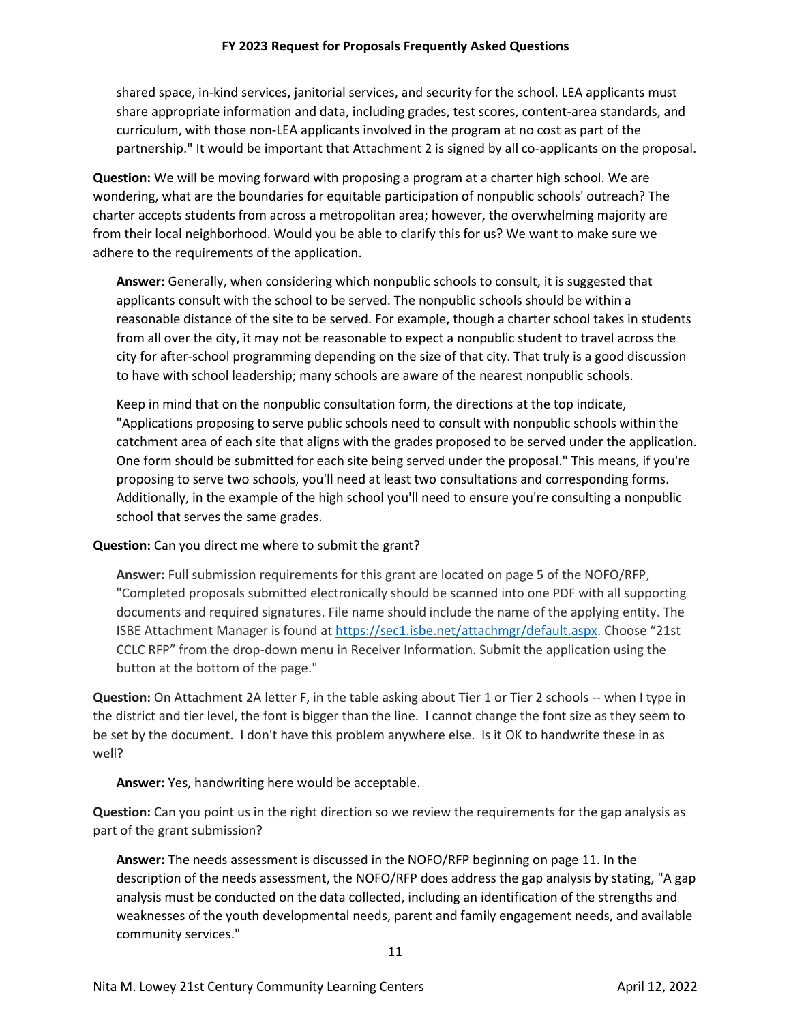shared space, in-kind services, janitorial services, and security for the school. LEA applicants must share appropriate information and data, including grades, test scores, content-area standards, and curriculum, with those non-LEA applicants involved in the program at no cost as part of the partnership." It would be important that Attachment 2 is signed by all co-applicants on the proposal.

**Question:** We will be moving forward with proposing a program at a charter high school. We are wondering, what are the boundaries for equitable participation of nonpublic schools' outreach? The charter accepts students from across a metropolitan area; however, the overwhelming majority are from their local neighborhood. Would you be able to clarify this for us? We want to make sure we adhere to the requirements of the application.

**Answer:** Generally, when considering which nonpublic schools to consult, it is suggested that applicants consult with the school to be served. The nonpublic schools should be within a reasonable distance of the site to be served. For example, though a charter school takes in students from all over the city, it may not be reasonable to expect a nonpublic student to travel across the city for after-school programming depending on the size of that city. That truly is a good discussion to have with school leadership; many schools are aware of the nearest nonpublic schools.

Keep in mind that on the nonpublic consultation form, the directions at the top indicate, "Applications proposing to serve public schools need to consult with nonpublic schools within the catchment area of each site that aligns with the grades proposed to be served under the application. One form should be submitted for each site being served under the proposal." This means, if you're proposing to serve two schools, you'll need at least two consultations and corresponding forms. Additionally, in the example of the high school you'll need to ensure you're consulting a nonpublic school that serves the same grades.

## **Question:** Can you direct me where to submit the grant?

**Answer:** Full submission requirements for this grant are located on page 5 of the NOFO/RFP, "Completed proposals submitted electronically should be scanned into one PDF with all supporting documents and required signatures. File name should include the name of the applying entity. The ISBE Attachment Manager is found a[t https://sec1.isbe.net/attachmgr/default.aspx](https://sec1.isbe.net/attachmgr/default.aspx). Choose "21st CCLC RFP" from the drop-down menu in Receiver Information. Submit the application using the button at the bottom of the page."

**Question:** On Attachment 2A letter F, in the table asking about Tier 1 or Tier 2 schools -- when I type in the district and tier level, the font is bigger than the line. I cannot change the font size as they seem to be set by the document. I don't have this problem anywhere else. Is it OK to handwrite these in as well?

## **Answer:** Yes, handwriting here would be acceptable.

**Question:** Can you point us in the right direction so we review the requirements for the gap analysis as part of the grant submission?

**Answer:** The needs assessment is discussed in the NOFO/RFP beginning on page 11. In the description of the needs assessment, the NOFO/RFP does address the gap analysis by stating, "A gap analysis must be conducted on the data collected, including an identification of the strengths and weaknesses of the youth developmental needs, parent and family engagement needs, and available community services."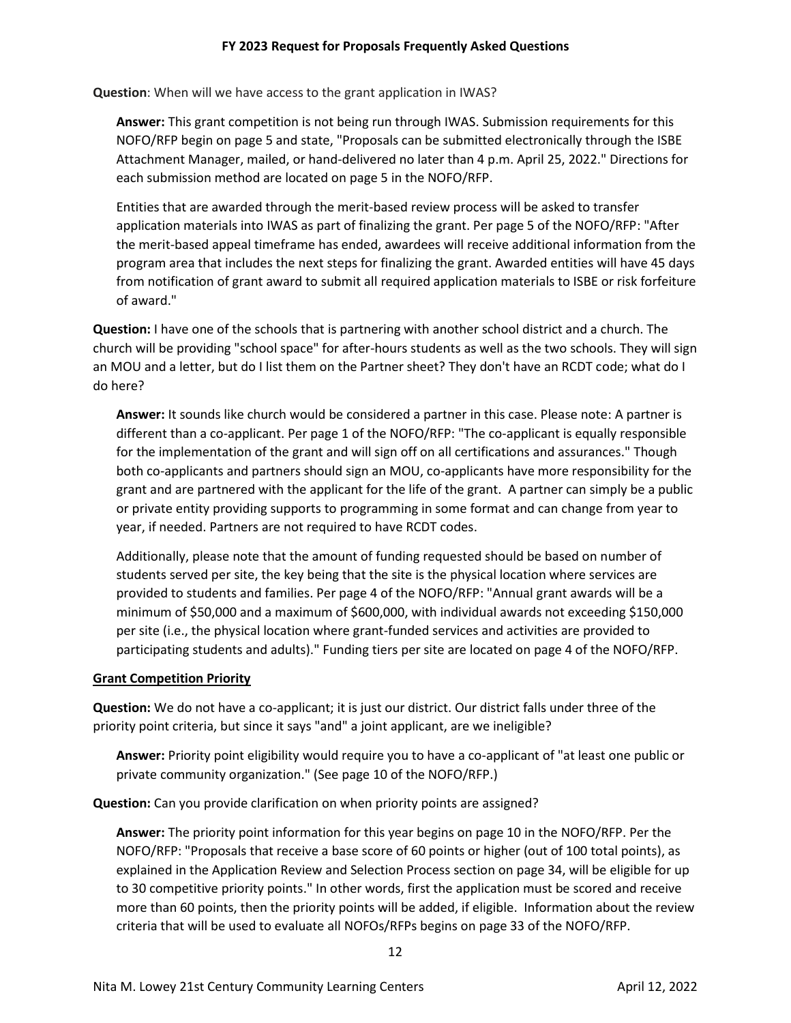**Question**: When will we have access to the grant application in IWAS?

**Answer:** This grant competition is not being run through IWAS. Submission requirements for this NOFO/RFP begin on page 5 and state, "Proposals can be submitted electronically through the ISBE Attachment Manager, mailed, or hand-delivered no later than 4 p.m. April 25, 2022." Directions for each submission method are located on page 5 in the NOFO/RFP.

Entities that are awarded through the merit-based review process will be asked to transfer application materials into IWAS as part of finalizing the grant. Per page 5 of the NOFO/RFP: "After the merit-based appeal timeframe has ended, awardees will receive additional information from the program area that includes the next steps for finalizing the grant. Awarded entities will have 45 days from notification of grant award to submit all required application materials to ISBE or risk forfeiture of award."

**Question:** I have one of the schools that is partnering with another school district and a church. The church will be providing "school space" for after-hours students as well as the two schools. They will sign an MOU and a letter, but do I list them on the Partner sheet? They don't have an RCDT code; what do I do here?

**Answer:** It sounds like church would be considered a partner in this case. Please note: A partner is different than a co-applicant. Per page 1 of the NOFO/RFP: "The co-applicant is equally responsible for the implementation of the grant and will sign off on all certifications and assurances." Though both co-applicants and partners should sign an MOU, co-applicants have more responsibility for the grant and are partnered with the applicant for the life of the grant. A partner can simply be a public or private entity providing supports to programming in some format and can change from year to year, if needed. Partners are not required to have RCDT codes.

Additionally, please note that the amount of funding requested should be based on number of students served per site, the key being that the site is the physical location where services are provided to students and families. Per page 4 of the NOFO/RFP: "Annual grant awards will be a minimum of \$50,000 and a maximum of \$600,000, with individual awards not exceeding \$150,000 per site (i.e., the physical location where grant-funded services and activities are provided to participating students and adults)." Funding tiers per site are located on page 4 of the NOFO/RFP.

### **Grant Competition Priority**

**Question:** We do not have a co-applicant; it is just our district. Our district falls under three of the priority point criteria, but since it says "and" a joint applicant, are we ineligible?

**Answer:** Priority point eligibility would require you to have a co-applicant of "at least one public or private community organization." (See page 10 of the NOFO/RFP.)

**Question:** Can you provide clarification on when priority points are assigned?

**Answer:** The priority point information for this year begins on page 10 in the NOFO/RFP. Per the NOFO/RFP: "Proposals that receive a base score of 60 points or higher (out of 100 total points), as explained in the Application Review and Selection Process section on page 34, will be eligible for up to 30 competitive priority points." In other words, first the application must be scored and receive more than 60 points, then the priority points will be added, if eligible. Information about the review criteria that will be used to evaluate all NOFOs/RFPs begins on page 33 of the NOFO/RFP.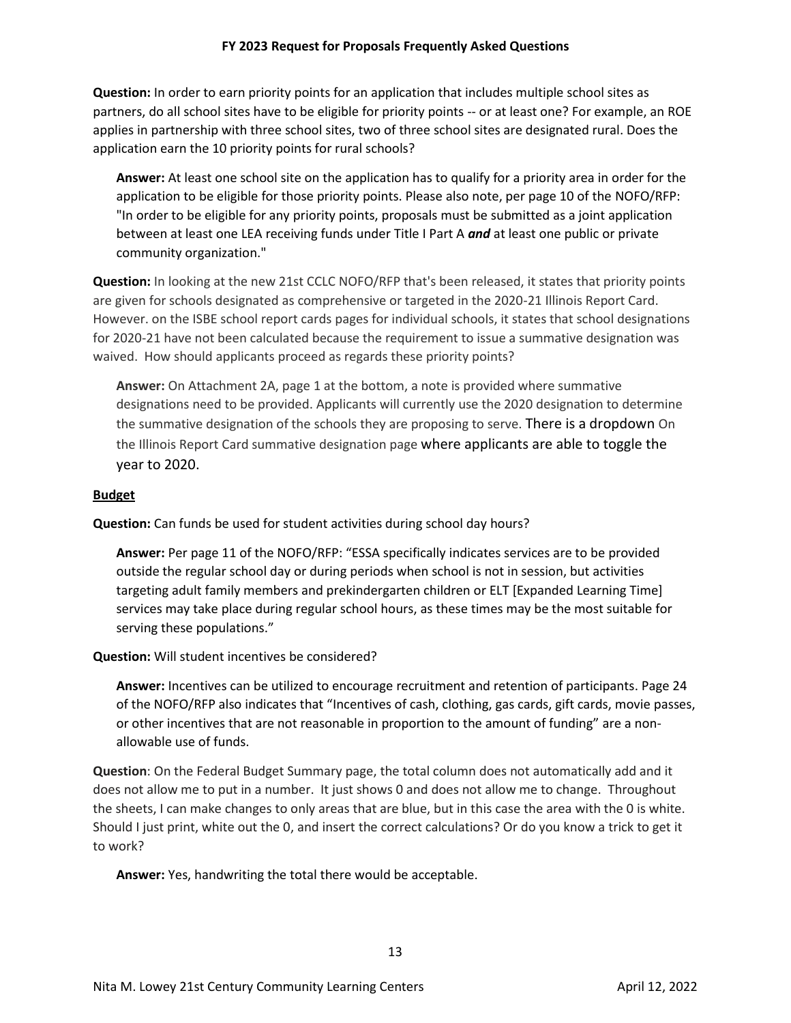**Question:** In order to earn priority points for an application that includes multiple school sites as partners, do all school sites have to be eligible for priority points -- or at least one? For example, an ROE applies in partnership with three school sites, two of three school sites are designated rural. Does the application earn the 10 priority points for rural schools?

**Answer:** At least one school site on the application has to qualify for a priority area in order for the application to be eligible for those priority points. Please also note, per page 10 of the NOFO/RFP: "In order to be eligible for any priority points, proposals must be submitted as a joint application between at least one LEA receiving funds under Title I Part A *and* at least one public or private community organization."

**Question:** In looking at the new 21st CCLC NOFO/RFP that's been released, it states that priority points are given for schools designated as comprehensive or targeted in the 2020-21 Illinois Report Card. However. on the ISBE school report cards pages for individual schools, it states that school designations for 2020-21 have not been calculated because the requirement to issue a summative designation was waived. How should applicants proceed as regards these priority points?

**Answer:** On Attachment 2A, page 1 at the bottom, a note is provided where summative designations need to be provided. Applicants will currently use the 2020 designation to determine the summative designation of the schools they are proposing to serve. There is a dropdown On the Illinois Report Card summative designation page where applicants are able to toggle the year to 2020.

## **Budget**

**Question:** Can funds be used for student activities during school day hours?

**Answer:** Per page 11 of the NOFO/RFP: "ESSA specifically indicates services are to be provided outside the regular school day or during periods when school is not in session, but activities targeting adult family members and prekindergarten children or ELT [Expanded Learning Time] services may take place during regular school hours, as these times may be the most suitable for serving these populations."

**Question:** Will student incentives be considered?

**Answer:** Incentives can be utilized to encourage recruitment and retention of participants. Page 24 of the NOFO/RFP also indicates that "Incentives of cash, clothing, gas cards, gift cards, movie passes, or other incentives that are not reasonable in proportion to the amount of funding" are a nonallowable use of funds.

**Question**: On the Federal Budget Summary page, the total column does not automatically add and it does not allow me to put in a number. It just shows 0 and does not allow me to change. Throughout the sheets, I can make changes to only areas that are blue, but in this case the area with the 0 is white. Should I just print, white out the 0, and insert the correct calculations? Or do you know a trick to get it to work?

**Answer:** Yes, handwriting the total there would be acceptable.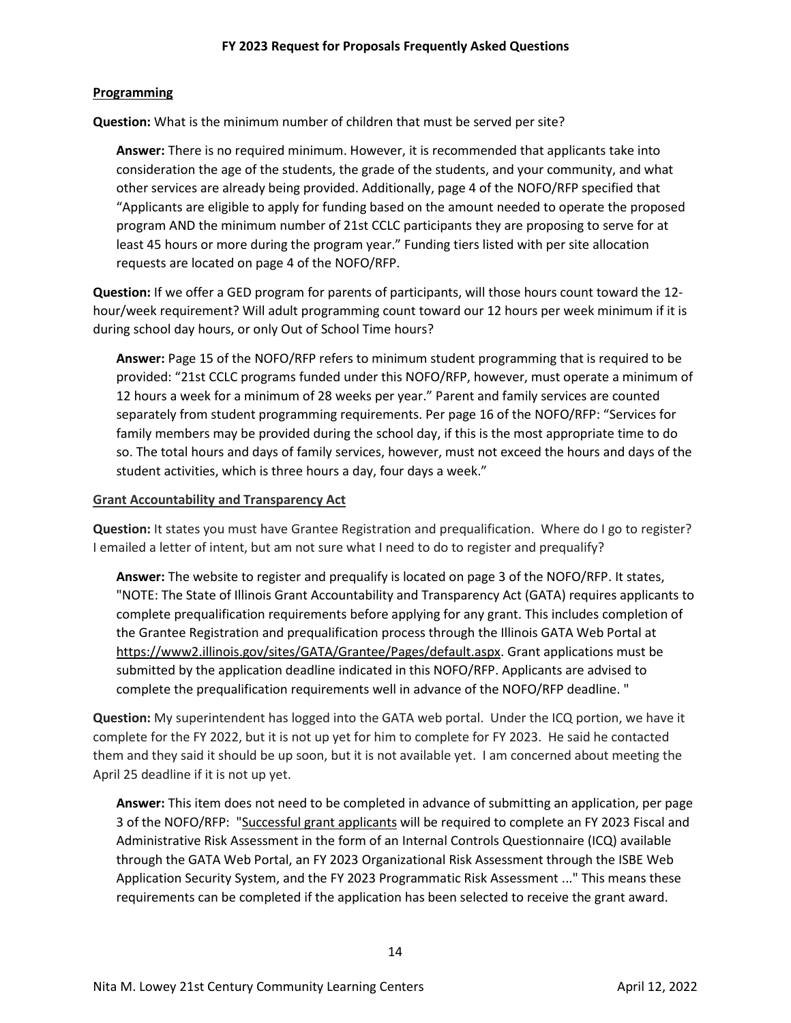### **Programming**

**Question:** What is the minimum number of children that must be served per site?

**Answer:** There is no required minimum. However, it is recommended that applicants take into consideration the age of the students, the grade of the students, and your community, and what other services are already being provided. Additionally, page 4 of the NOFO/RFP specified that "Applicants are eligible to apply for funding based on the amount needed to operate the proposed program AND the minimum number of 21st CCLC participants they are proposing to serve for at least 45 hours or more during the program year." Funding tiers listed with per site allocation requests are located on page 4 of the NOFO/RFP.

**Question:** If we offer a GED program for parents of participants, will those hours count toward the 12 hour/week requirement? Will adult programming count toward our 12 hours per week minimum if it is during school day hours, or only Out of School Time hours?

**Answer:** Page 15 of the NOFO/RFP refers to minimum student programming that is required to be provided: "21st CCLC programs funded under this NOFO/RFP, however, must operate a minimum of 12 hours a week for a minimum of 28 weeks per year." Parent and family services are counted separately from student programming requirements. Per page 16 of the NOFO/RFP: "Services for family members may be provided during the school day, if this is the most appropriate time to do so. The total hours and days of family services, however, must not exceed the hours and days of the student activities, which is three hours a day, four days a week."

### **Grant Accountability and Transparency Act**

Question: It states you must have Grantee Registration and prequalification. Where do I go to register? I emailed a letter of intent, but am not sure what I need to do to register and prequalify?

**Answer:** The website to register and prequalify is located on page 3 of the NOFO/RFP. It states, "NOTE: The State of Illinois Grant Accountability and Transparency Act (GATA) requires applicants to complete prequalification requirements before applying for any grant. This includes completion of the Grantee Registration and prequalification process through the Illinois GATA Web Portal at [https://www2.illinois.gov/sites/GATA/Grantee/Pages/default.aspx.](https://www2.illinois.gov/sites/GATA/Grantee/Pages/default.aspx) Grant applications must be submitted by the application deadline indicated in this NOFO/RFP. Applicants are advised to complete the prequalification requirements well in advance of the NOFO/RFP deadline. "

**Question:** My superintendent has logged into the GATA web portal. Under the ICQ portion, we have it complete for the FY 2022, but it is not up yet for him to complete for FY 2023. He said he contacted them and they said it should be up soon, but it is not available yet. I am concerned about meeting the April 25 deadline if it is not up yet.

**Answer:** This item does not need to be completed in advance of submitting an application, per page 3 of the NOFO/RFP: "Successful grant applicants will be required to complete an FY 2023 Fiscal and Administrative Risk Assessment in the form of an Internal Controls Questionnaire (ICQ) available through the GATA Web Portal, an FY 2023 Organizational Risk Assessment through the ISBE Web Application Security System, and the FY 2023 Programmatic Risk Assessment ..." This means these requirements can be completed if the application has been selected to receive the grant award.